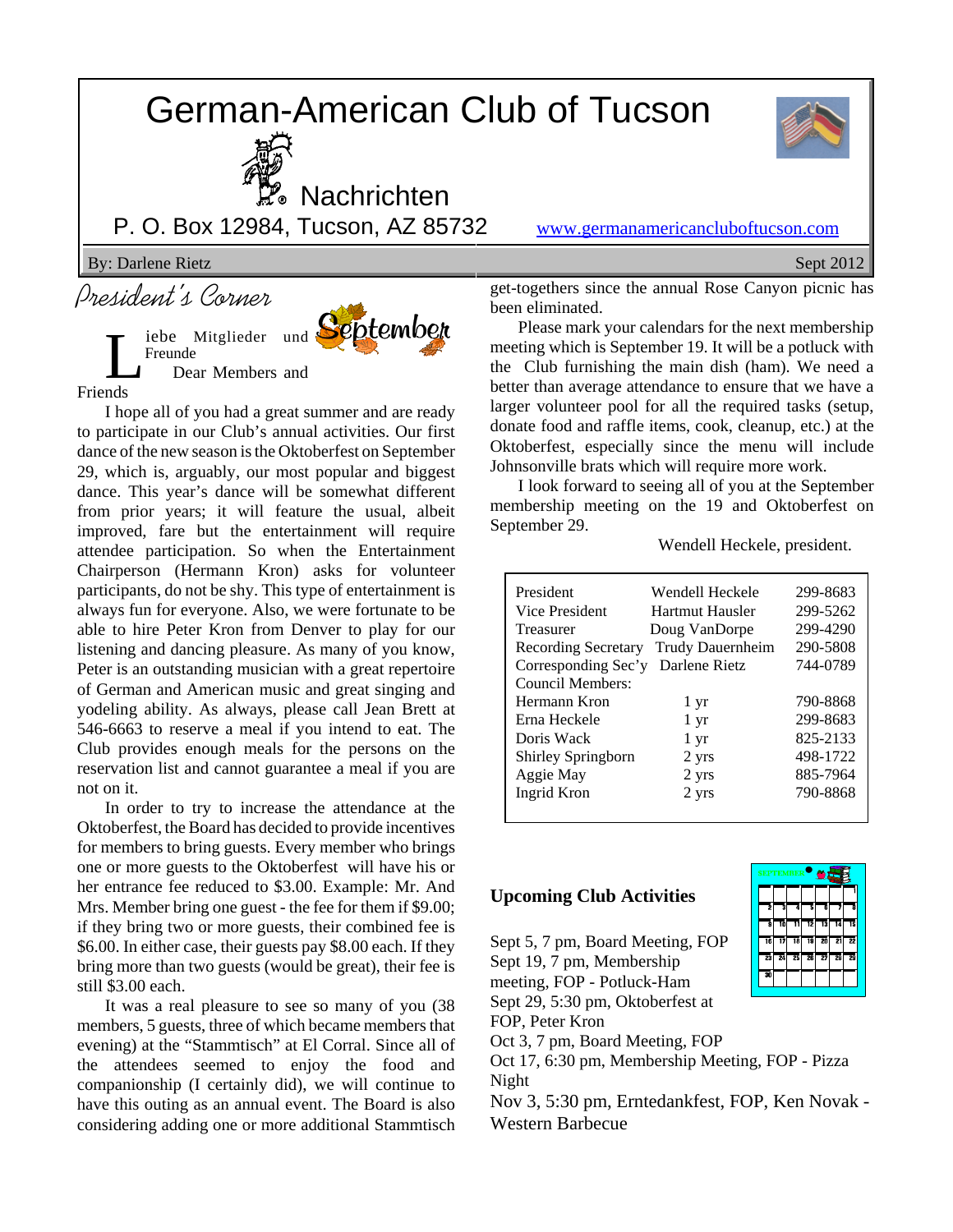# German-American Club of Tucson





**% Nachrichten** 

**September** 

P. O. Box 12984, Tucson, AZ 85732 www.germanamericancluboftucson.com

By: Darlene Rietz Sept 2012

President's Corner

iebe Mitglieder und Freunde Dear Members and Friends

I hope all of you had a great summer and are ready to participate in our Club's annual activities. Our first dance of the new season is the Oktoberfest on September 29, which is, arguably, our most popular and biggest dance. This year's dance will be somewhat different from prior years; it will feature the usual, albeit improved, fare but the entertainment will require attendee participation. So when the Entertainment Chairperson (Hermann Kron) asks for volunteer participants, do not be shy. This type of entertainment is always fun for everyone. Also, we were fortunate to be able to hire Peter Kron from Denver to play for our listening and dancing pleasure. As many of you know, Peter is an outstanding musician with a great repertoire of German and American music and great singing and yodeling ability. As always, please call Jean Brett at 546-6663 to reserve a meal if you intend to eat. The Club provides enough meals for the persons on the reservation list and cannot guarantee a meal if you are not on it.

In order to try to increase the attendance at the Oktoberfest, the Board has decided to provide incentives for members to bring guests. Every member who brings one or more guests to the Oktoberfest will have his or her entrance fee reduced to \$3.00. Example: Mr. And Mrs. Member bring one guest - the fee for them if \$9.00; if they bring two or more guests, their combined fee is \$6.00. In either case, their guests pay \$8.00 each. If they bring more than two guests (would be great), their fee is still \$3.00 each.

It was a real pleasure to see so many of you (38 members, 5 guests, three of which became members that evening) at the "Stammtisch" at El Corral. Since all of the attendees seemed to enjoy the food and companionship (I certainly did), we will continue to have this outing as an annual event. The Board is also considering adding one or more additional Stammtisch get-togethers since the annual Rose Canyon picnic has been eliminated.

Please mark your calendars for the next membership meeting which is September 19. It will be a potluck with the Club furnishing the main dish (ham). We need a better than average attendance to ensure that we have a larger volunteer pool for all the required tasks (setup, donate food and raffle items, cook, cleanup, etc.) at the Oktoberfest, especially since the menu will include Johnsonville brats which will require more work.

I look forward to seeing all of you at the September membership meeting on the 19 and Oktoberfest on September 29.

Wendell Heckele, president.

| President                  | Wendell Heckele  | 299-8683 |
|----------------------------|------------------|----------|
| Vice President             | Hartmut Hausler  | 299-5262 |
| Treasurer                  | Doug VanDorpe    | 299-4290 |
| <b>Recording Secretary</b> | Trudy Dauernheim | 290-5808 |
| Corresponding Sec'y        | Darlene Rietz    | 744-0789 |
| Council Members:           |                  |          |
| Hermann Kron               | 1 yr             | 790-8868 |
| Erna Heckele               | 1 yr             | 299-8683 |
| Doris Wack                 | 1 yr             | 825-2133 |
| Shirley Springborn         | 2 yrs            | 498-1722 |
| Aggie May                  | 2 yrs            | 885-7964 |
| Ingrid Kron                | 2 yrs            | 790-8868 |
|                            |                  |          |

#### **Upcoming Club Activities**

Sept 5, 7 pm, Board Meeting, FOP

Sept 19, 7 pm, Membership meeting, FOP - Potluck-Ham

Sept 29, 5:30 pm, Oktoberfest at

FOP, Peter Kron

Oct 3, 7 pm, Board Meeting, FOP

Oct 17, 6:30 pm, Membership Meeting, FOP - Pizza Night

Nov 3, 5:30 pm, Erntedankfest, FOP, Ken Novak - Western Barbecue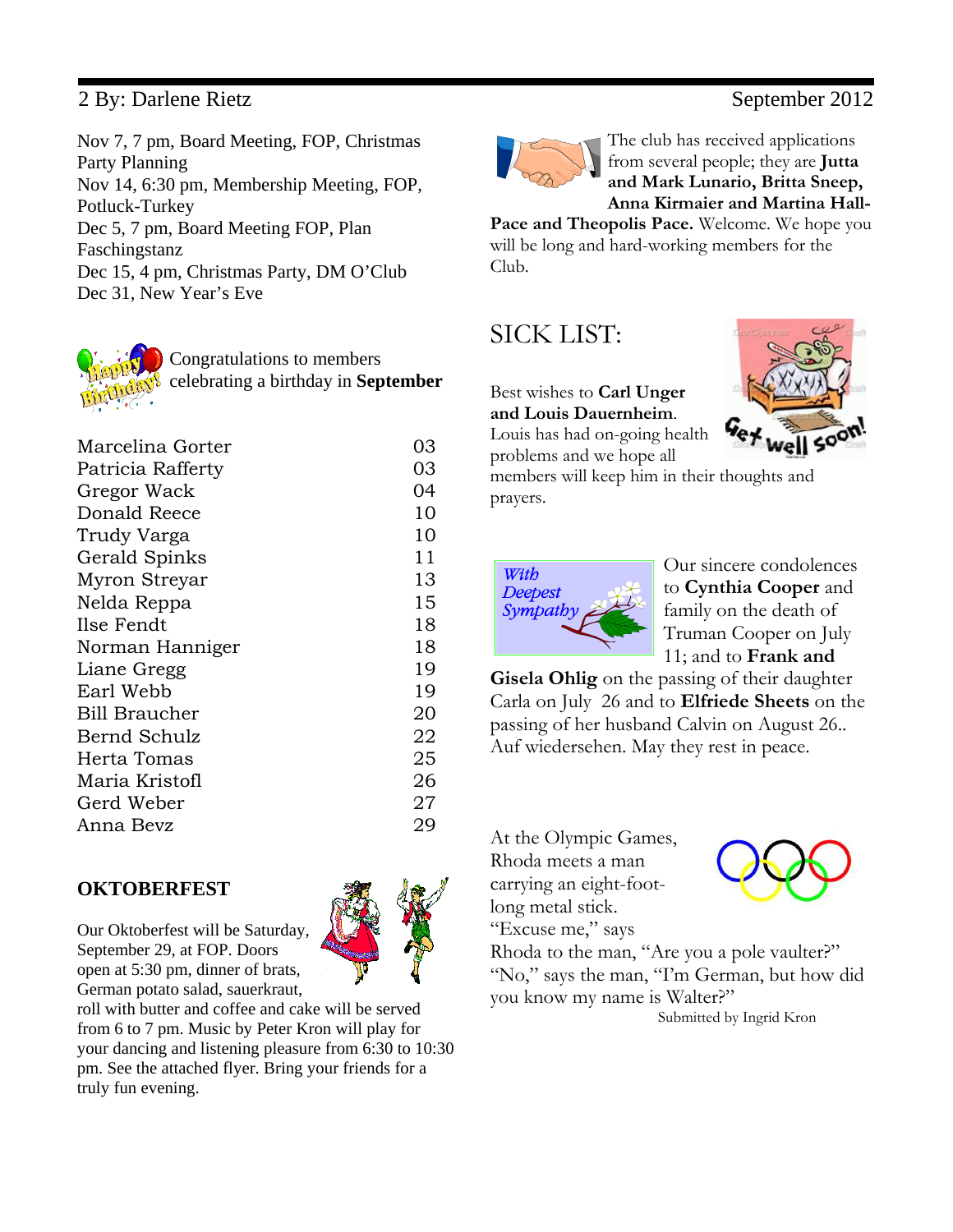## 2 By: Darlene Rietz September 2012

Nov 7, 7 pm, Board Meeting, FOP, Christmas Party Planning Nov 14, 6:30 pm, Membership Meeting, FOP, Potluck-Turkey Dec 5, 7 pm, Board Meeting FOP, Plan Faschingstanz Dec 15, 4 pm, Christmas Party, DM O'Club Dec 31, New Year's Eve



Congratulations to members celebrating a birthday in **September**

| Marcelina Gorter     | 03 |
|----------------------|----|
| Patricia Rafferty    | 03 |
| Gregor Wack          | 04 |
| Donald Reece         | 10 |
| Trudy Varga          | 10 |
| Gerald Spinks        | 11 |
| Myron Streyar        | 13 |
| Nelda Reppa          | 15 |
| Ilse Fendt           | 18 |
| Norman Hanniger      | 18 |
| Liane Gregg          | 19 |
| Earl Webb            | 19 |
| <b>Bill Braucher</b> | 20 |
| Bernd Schulz         | 22 |
| Herta Tomas          | 25 |
| Maria Kristofl       | 26 |
| Gerd Weber           | 27 |
| Anna Bevz            | 29 |
|                      |    |

### **OKTOBERFEST**

Our Oktoberfest will be Saturday, September 29, at FOP. Doors open at 5:30 pm, dinner of brats, German potato salad, sauerkraut,

roll with butter and coffee and cake will be served from 6 to 7 pm. Music by Peter Kron will play for your dancing and listening pleasure from 6:30 to 10:30 pm. See the attached flyer. Bring your friends for a truly fun evening.



The club has received applications from several people; they are **Jutta and Mark Lunario, Britta Sneep, Anna Kirmaier and Martina Hall-**

**Pace and Theopolis Pace.** Welcome. We hope you will be long and hard-working members for the Club.

# SICK LIST:

### Best wishes to **Carl Unger and Louis Dauernheim**.

Louis has had on-going health problems and we hope all

members will keep him in their thoughts and prayers.



Our sincere condolences to **Cynthia Cooper** and family on the death of Truman Cooper on July 11; and to **Frank and**

**Gisela Ohlig** on the passing of their daughter Carla on July 26 and to **Elfriede Sheets** on the passing of her husband Calvin on August 26.. Auf wiedersehen. May they rest in peace.

At the Olympic Games, Rhoda meets a man carrying an eight-footlong metal stick. "Excuse me," says



Rhoda to the man, "Are you a pole vaulter?" "No," says the man, "I'm German, but how did you know my name is Walter?" Submitted by Ingrid Kron